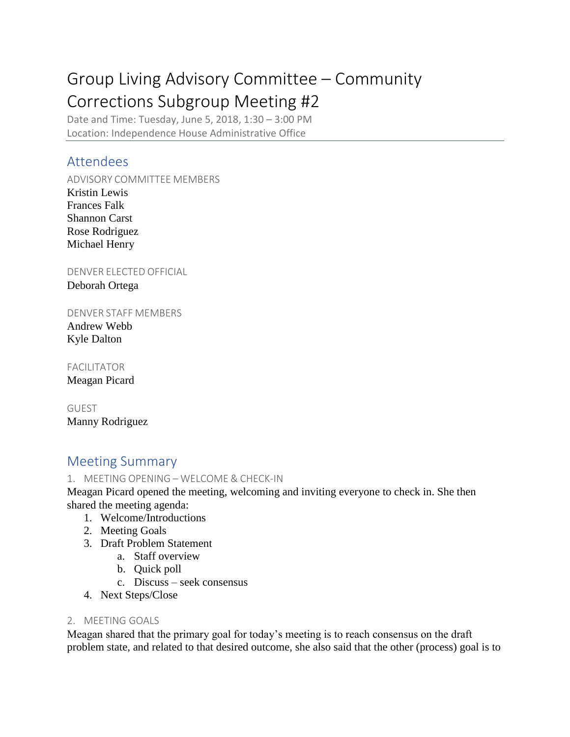# Group Living Advisory Committee – Community Corrections Subgroup Meeting #2

Date and Time: Tuesday, June 5, 2018, 1:30 – 3:00 PM Location: Independence House Administrative Office

## Attendees

ADVISORY COMMITTEE MEMBERS

Kristin Lewis Frances Falk Shannon Carst Rose Rodriguez Michael Henry

DENVER ELECTED OFFICIAL Deborah Ortega

DENVER STAFF MEMBERS

Andrew Webb Kyle Dalton

FACILITATOR Meagan Picard

GUEST Manny Rodriguez

## Meeting Summary

1. MEETING OPENING – WELCOME & CHECK-IN

Meagan Picard opened the meeting, welcoming and inviting everyone to check in. She then shared the meeting agenda:

- 1. Welcome/Introductions
- 2. Meeting Goals
- 3. Draft Problem Statement
	- a. Staff overview
	- b. Quick poll
	- c. Discuss seek consensus
- 4. Next Steps/Close

### 2. MEETING GOALS

Meagan shared that the primary goal for today's meeting is to reach consensus on the draft problem state, and related to that desired outcome, she also said that the other (process) goal is to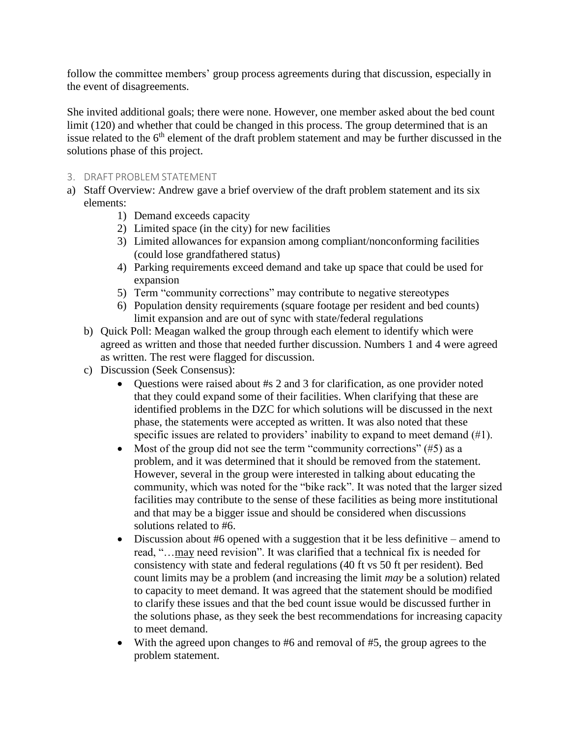follow the committee members' group process agreements during that discussion, especially in the event of disagreements.

She invited additional goals; there were none. However, one member asked about the bed count limit (120) and whether that could be changed in this process. The group determined that is an issue related to the 6<sup>th</sup> element of the draft problem statement and may be further discussed in the solutions phase of this project.

#### 3. DRAFT PROBLEM STATEMENT

- a) Staff Overview: Andrew gave a brief overview of the draft problem statement and its six elements:
	- 1) Demand exceeds capacity
	- 2) Limited space (in the city) for new facilities
	- 3) Limited allowances for expansion among compliant/nonconforming facilities (could lose grandfathered status)
	- 4) Parking requirements exceed demand and take up space that could be used for expansion
	- 5) Term "community corrections" may contribute to negative stereotypes
	- 6) Population density requirements (square footage per resident and bed counts) limit expansion and are out of sync with state/federal regulations
	- b) Quick Poll: Meagan walked the group through each element to identify which were agreed as written and those that needed further discussion. Numbers 1 and 4 were agreed as written. The rest were flagged for discussion.
	- c) Discussion (Seek Consensus):
		- Questions were raised about #s 2 and 3 for clarification, as one provider noted that they could expand some of their facilities. When clarifying that these are identified problems in the DZC for which solutions will be discussed in the next phase, the statements were accepted as written. It was also noted that these specific issues are related to providers' inability to expand to meet demand (#1).
		- Most of the group did not see the term "community corrections"  $(\#5)$  as a problem, and it was determined that it should be removed from the statement. However, several in the group were interested in talking about educating the community, which was noted for the "bike rack". It was noted that the larger sized facilities may contribute to the sense of these facilities as being more institutional and that may be a bigger issue and should be considered when discussions solutions related to #6.
		- Discussion about #6 opened with a suggestion that it be less definitive amend to read, "…may need revision". It was clarified that a technical fix is needed for consistency with state and federal regulations (40 ft vs 50 ft per resident). Bed count limits may be a problem (and increasing the limit *may* be a solution) related to capacity to meet demand. It was agreed that the statement should be modified to clarify these issues and that the bed count issue would be discussed further in the solutions phase, as they seek the best recommendations for increasing capacity to meet demand.
		- With the agreed upon changes to #6 and removal of #5, the group agrees to the problem statement.